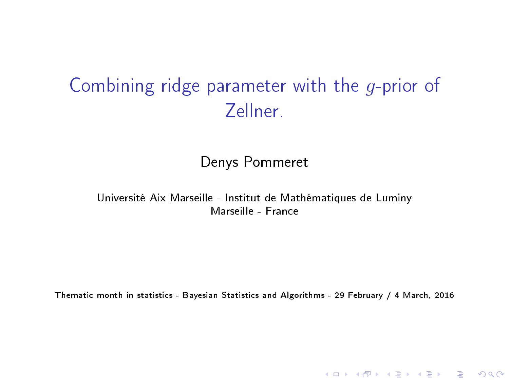## Combining ridge parameter with the g-prior of Zellner.

Denys Pommeret

#### Université Aix Marseille - Institut de Mathématiques de Luminy Marseille - France

Thematic month in statistics - Bayesian Statistics and Algorithms - 29 February / 4 March, 2016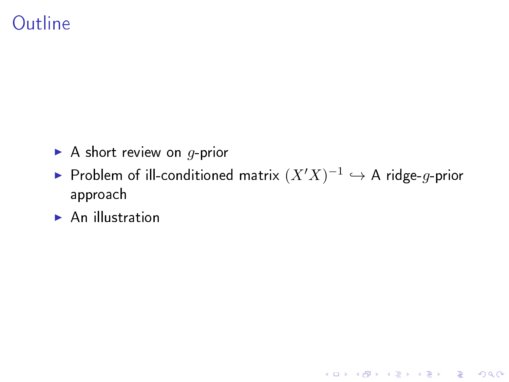## **Outline**

- A short review on  $q$ -prior
- ► Problem of ill-conditioned matrix  $(X'X)^{-1} \hookrightarrow$  A ridge- $g$ -prior approach

 $\blacktriangleright$  An illustration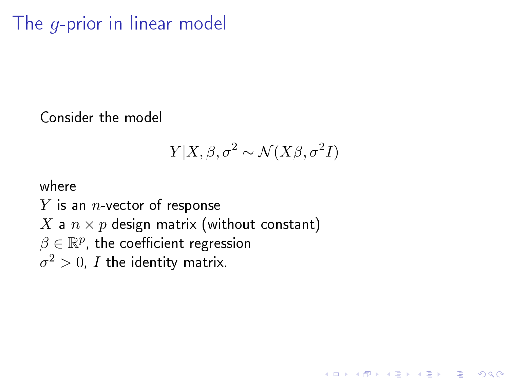## The g-prior in linear model

Consider the model

$$
Y|X,\beta,\sigma^2 \sim \mathcal{N}(X\beta,\sigma^2 I)
$$

**KORK STRAIN ABY COMPARI** 

where  $Y$  is an  $n$ -vector of response X a  $n \times p$  design matrix (without constant)  $\beta \in \mathbb{R}^p$ , the coefficient regression  $\sigma^2>0$ ,  $I$  the identity matrix.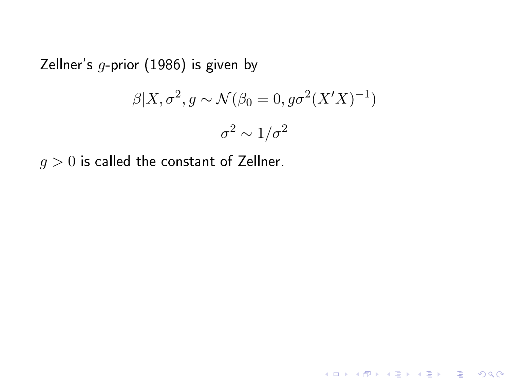Zellner's  $g$ -prior (1986) is given by

$$
\beta | X, \sigma^2, g \sim \mathcal{N}(\beta_0 = 0, g\sigma^2 (X'X)^{-1})
$$

$$
\sigma^2 \sim 1/\sigma^2
$$

**メロトメ 伊 トメミトメミト ニミー つんぴ** 

 $g > 0$  is called the constant of Zellner.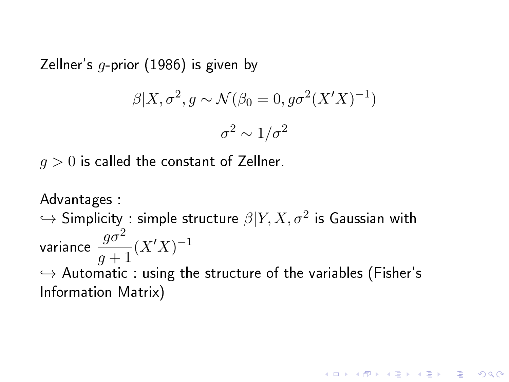Zellner's  $q$ -prior (1986) is given by

$$
\beta | X, \sigma^2, g \sim \mathcal{N}(\beta_0 = 0, g\sigma^2 (X'X)^{-1})
$$

$$
\sigma^2 \sim 1/\sigma^2
$$

 $q > 0$  is called the constant of Zellner.

Advantages :  $\hookrightarrow$  Simplicity : simple structure  $\beta|Y,X,\sigma^2$  is Gaussian with variance  $\frac{g\sigma^2}{g+1}(X'X)^{-1}$  $\hookrightarrow$  Automatic : using the structure of the variables (Fisher's Information Matrix)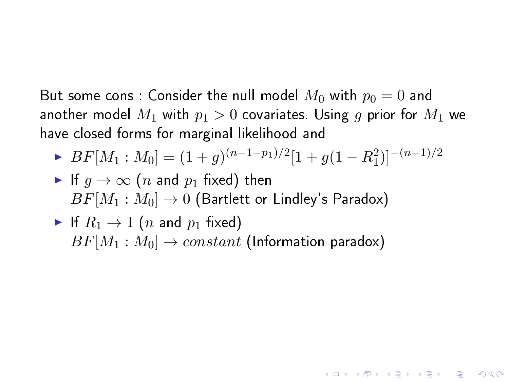But some cons : Consider the null model  $M_0$  with  $p_0 = 0$  and another model  $M_1$  with  $p_1 > 0$  covariates. Using  $g$  prior for  $M_1$  we have closed forms for marginal likelihood and

$$
\blacktriangleright BF[M_1: M_0] = (1+g)^{(n-1-p_1)/2}[1+g(1-R_1^2)]^{-(n-1)/2}
$$

K ロ ▶ K 레 ▶ K 레 ▶ K 레 ≯ K 게 회 게 이 및 사 이 의 O

\n- If 
$$
g \to \infty
$$
 (n and  $p_1$  fixed) then
\n- $BF[M_1: M_0] \to 0$  (Bartlett or Lindley's Paradox)
\n

• If 
$$
R_1 \rightarrow 1
$$
 (*n* and  $p_1$  fixed)  

$$
BF[M_1: M_0] \rightarrow constant
$$
 (Information paradox)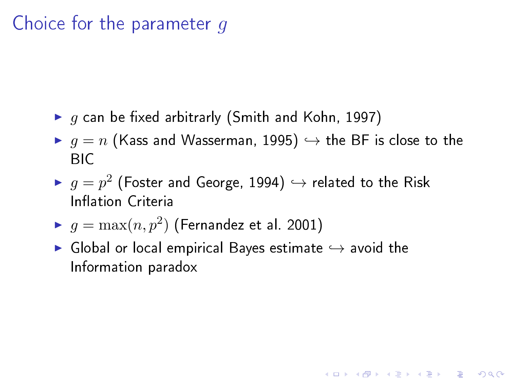## Choice for the parameter q

- $\blacktriangleright$  g can be fixed arbitrarly (Smith and Kohn, 1997)
- $\triangleright$   $g = n$  (Kass and Wasserman, 1995)  $\hookrightarrow$  the BF is close to the BIC

**KORK STRAIN ABY COMPARI** 

- $\blacktriangleright$   $g = p^2$  (Foster and George, 1994)  $\hookrightarrow$  related to the Risk Inflation Criteria
- $\blacktriangleright$   $g = \max(n, p^2)$  (Fernandez et al. 2001)
- $\blacktriangleright$  Global or local empirical Bayes estimate  $\hookrightarrow$  avoid the Information paradox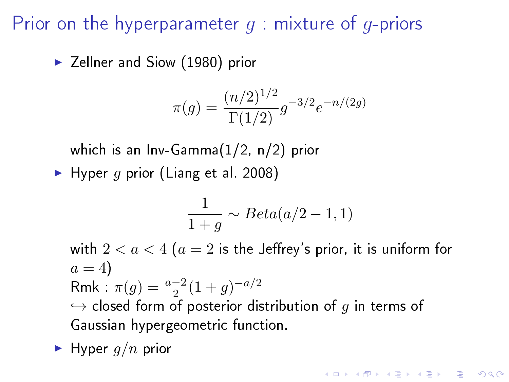## Prior on the hyperparameter  $q$  : mixture of q-priors

▶ Zellner and Siow (1980) prior

$$
\pi(g) = \frac{(n/2)^{1/2}}{\Gamma(1/2)} g^{-3/2} e^{-n/(2g)}
$$

which is an Inv-Gamma(1/2, n/2) prior

 $\blacktriangleright$  Hyper q prior (Liang et al. 2008)

$$
\frac{1}{1+g} \sim Beta(a/2 - 1, 1)
$$

with  $2 < a < 4$  ( $a = 2$  is the Jeffrey's prior, it is uniform for  $a=4$ Rmk :  $\pi(g) = \frac{a-2}{2}(1+g)^{-a/2}$  $\hookrightarrow$  closed form of posterior distribution of g in terms of Gaussian hypergeometric function.

$$
\blacktriangleright
$$
 Hyper  $g/n$  prior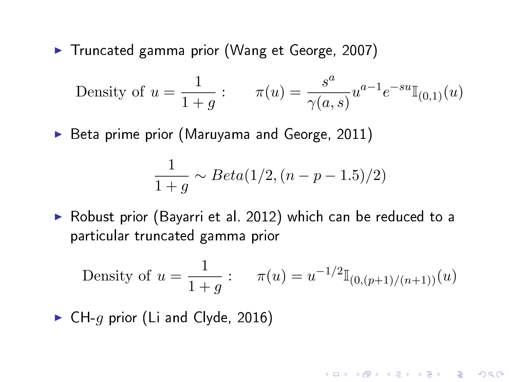▶ Truncated gamma prior (Wang et George, 2007)

Density of 
$$
u = \frac{1}{1+g}
$$
:  $\pi(u) = \frac{s^a}{\gamma(a,s)} u^{a-1} e^{-su} \mathbb{I}_{(0,1)}(u)$ 

 $\triangleright$  Beta prime prior (Maruyama and George, 2011)

$$
\frac{1}{1+g} \sim Beta(1/2, (n-p-1.5)/2)
$$

▶ Robust prior (Bayarri et al. 2012) which can be reduced to a particular truncated gamma prior

Density of 
$$
u = \frac{1}{1+g}
$$
:  $\pi(u) = u^{-1/2} \mathbb{I}_{(0,(p+1)/(n+1))}(u)$ 

**KORK STRAIN ABY COMPARI** 

 $\triangleright$  CH-q prior (Li and Clyde, 2016)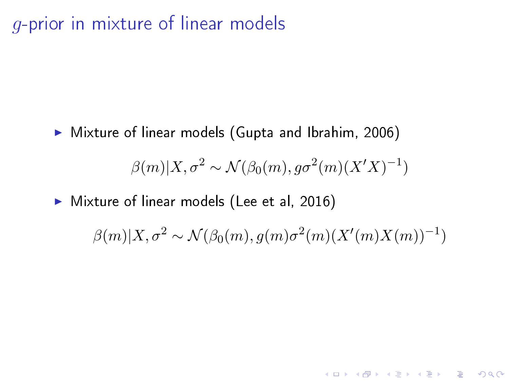### g-prior in mixture of linear models

▶ Mixture of linear models (Gupta and Ibrahim, 2006)

$$
\beta(m)|X,\sigma^2 \sim \mathcal{N}(\beta_0(m), g\sigma^2(m)(X'X)^{-1})
$$

Mixture of linear models (Lee et al, 2016)

$$
\beta(m)|X,\sigma^2 \sim \mathcal{N}(\beta_0(m),g(m)\sigma^2(m)(X'(m)X(m))^{-1})
$$

K □ ▶ K @ ▶ K 할 ▶ K 할 ▶ | 할 | K 9 Q @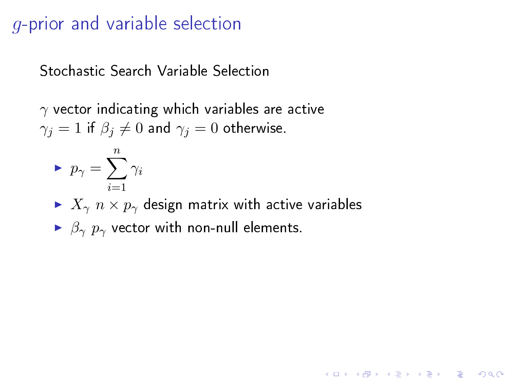#### g-prior and variable selection

Stochastic Search Variable Selection

 $\gamma$  vector indicating which variables are active  $\gamma_i = 1$  if  $\beta_i \neq 0$  and  $\gamma_i = 0$  otherwise.

$$
\blacktriangleright \ p_{\gamma} = \sum_{i=1}^{n} \gamma_i
$$

 $\blacktriangleright$   $X_{\gamma}$   $n \times p_{\gamma}$  design matrix with active variables

K ロ ▶ K @ ▶ K 할 ▶ K 할 ▶ 이 할 → 9 Q @

 $\triangleright$   $\beta_{\gamma}$   $p_{\gamma}$  vector with non-null elements.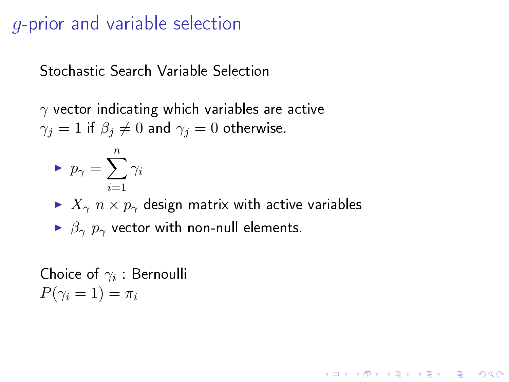#### g-prior and variable selection

Stochastic Search Variable Selection

 $\gamma$  vector indicating which variables are active  $\gamma_i = 1$  if  $\beta_i \neq 0$  and  $\gamma_i = 0$  otherwise.

$$
\blacktriangleright \ p_{\gamma} = \sum_{i=1}^{n} \gamma_i
$$

 $\blacktriangleright$   $X_{\gamma}$   $n \times p_{\gamma}$  design matrix with active variables

**KORK STRAIN ABY COMPARI** 

$$
\triangleright
$$
  $\beta_{\gamma}$   $p_{\gamma}$  vector with non-null elements.

Choice of  $\gamma_i$  : Bernoulli  $P(\gamma_i=1)=\pi_i$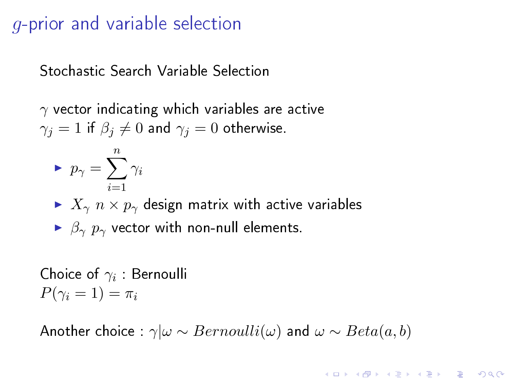#### g-prior and variable selection

Stochastic Search Variable Selection

 $\gamma$  vector indicating which variables are active  $\gamma_i = 1$  if  $\beta_i \neq 0$  and  $\gamma_i = 0$  otherwise.

$$
\blacktriangleright \ p_{\gamma} = \sum_{i=1}^{n} \gamma_i
$$

 $\blacktriangleright$   $X_{\gamma}$   $n \times p_{\gamma}$  design matrix with active variables

 $\triangleright$   $\beta_{\gamma}$   $p_{\gamma}$  vector with non-null elements.

Choice of  $\gamma_i$  : Bernoulli  $P(\gamma_i = 1) = \pi_i$ 

Another choice :  $\gamma|\omega \sim Bernoulli(\omega)$  and  $\omega \sim Beta(a, b)$ 

**KORKAR KERKER EL VOLO**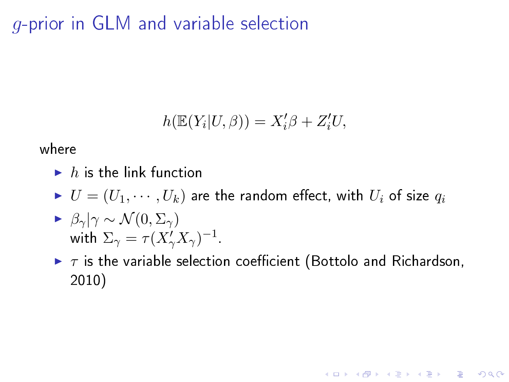## g-prior in GLM and variable selection

$$
h(\mathbb{E}(Y_i|U,\beta)) = X_i'\beta + Z_i'U,
$$

where

- $\blacktriangleright$  h is the link function
- $\blacktriangleright$   $U = (U_1, \cdots, U_k)$  are the random effect, with  $U_i$  of size  $q_i$
- $\blacktriangleright$   $\beta_{\gamma}|\gamma \sim \mathcal{N}(0, \Sigma_{\gamma})$ with  $\Sigma_\gamma = \tau (X_\gamma' X_\gamma)^{-1}$ .
- $\blacktriangleright$   $\tau$  is the variable selection coefficient (Bottolo and Richardson, 2010)

**A DIA K PIA K E A LE A DIA K E A VION**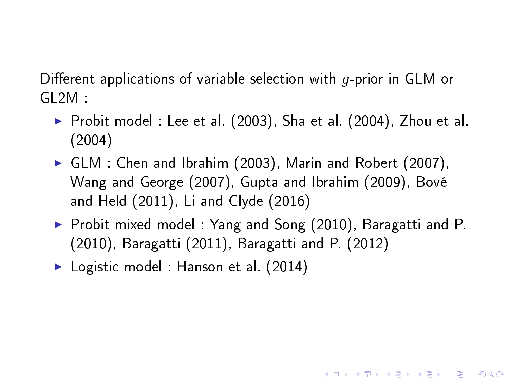Different applications of variable selection with  $q$ -prior in GLM or  $G12M$ 

- $\blacktriangleright$  Probit model : Lee et al. (2003), Sha et al. (2004), Zhou et al. (2004)
- $\blacktriangleright$  GLM : Chen and Ibrahim (2003), Marin and Robert (2007), Wang and George (2007), Gupta and Ibrahim (2009), Bové and Held (2011), Li and Clyde (2016)
- ▶ Probit mixed model : Yang and Song (2010), Baragatti and P. (2010), Baragatti (2011), Baragatti and P. (2012)

**A DIA K PIA K E A LE A DIA K E A VION** 

▶ Logistic model : Hanson et al. (2014)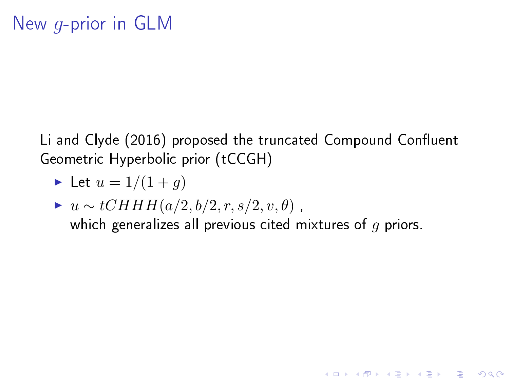Li and Clyde (2016) proposed the truncated Compound Confluent Geometric Hyperbolic prior (tCCGH)

- In Let  $u = 1/(1 + q)$
- $\blacktriangleright u \sim tCHHH(a/2, b/2, r, s/2, v, \theta)$ , which generalizes all previous cited mixtures of  $q$  priors.

**A DIA K PIA K E A LE A DIA K E A VION**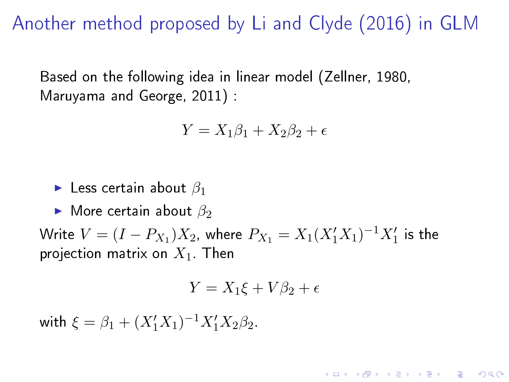Another method proposed by Li and Clyde (2016) in GLM

Based on the following idea in linear model (Zellner, 1980, Maruyama and George, 2011) :

$$
Y = X_1 \beta_1 + X_2 \beta_2 + \epsilon
$$

**Less certain about**  $\beta_1$ 

 $\blacktriangleright$  More certain about  $\beta_2$ 

Write  $V=(I-P_{X_1})X_2$ , where  $P_{X_1}=X_1(X_1'X_1)^{-1}X_1'$  is the projection matrix on  $X_1$ . Then

$$
Y = X_1\xi + V\beta_2 + \epsilon
$$

**KOR & KERKER CRAMEL** 

with  $\xi = \beta_1 + (X_1'X_1)^{-1}X_1'X_2\beta_2$ .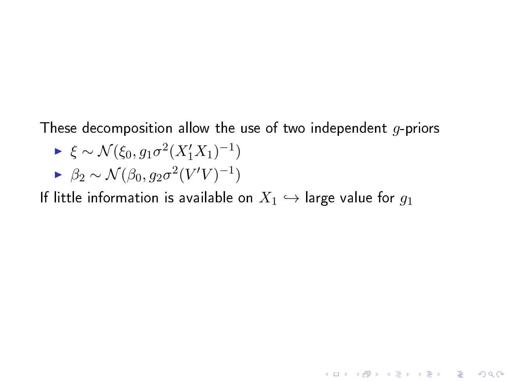These decomposition allow the use of two independent  $g$ -priors

$$
\blacktriangleright \xi \sim \mathcal{N}(\xi_0, g_1 \sigma^2 (X_1' X_1)^{-1})
$$

$$
\blacktriangleright \beta_2 \sim \mathcal{N}(\beta_0, g_2 \sigma^2 (V'V)^{-1})
$$

If little information is available on  $X_1 \hookrightarrow$  large value for  $g_1$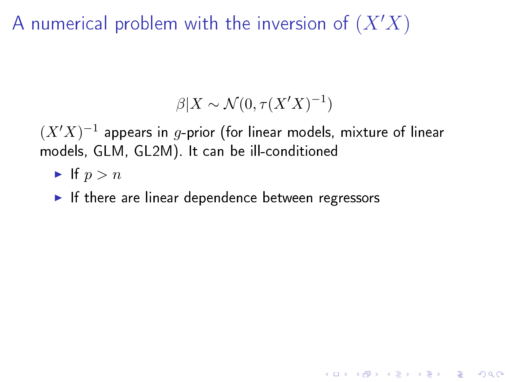A numerical problem with the inversion of  $(X'X)$ 

## $\beta|X \sim \mathcal{N}(0, \tau(X'X)^{-1})$

**A DIA K PIA K E A LE A DIA K E A VION** 

 $(X^{\prime}X)^{-1}$  appears in  $g$ -prior (for linear models, mixture of linear models, GLM, GL2M). It can be ill-conditioned

- If  $p > n$
- $\blacktriangleright$  If there are linear dependence between regressors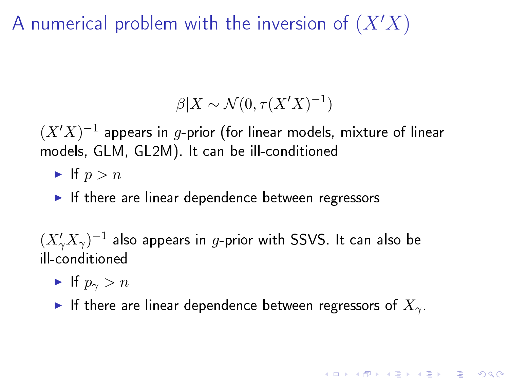A numerical problem with the inversion of  $(X'X)$ 

# $\beta|X \sim \mathcal{N}(0, \tau(X'X)^{-1})$

 $(X^{\prime}X)^{-1}$  appears in  $g$ -prior (for linear models, mixture of linear models, GLM, GL2M). It can be ill-conditioned

- If  $p > n$
- $\blacktriangleright$  If there are linear dependence between regressors

 $(X_\gamma'X_\gamma)^{-1}$  also appears in  $g$ -prior with SSVS. It can also be ill-conditioned

- If  $p_{\gamma} > n$
- If there are linear dependence between regressors of  $X_\gamma$ .

**A DIA K PIA A BIA A BIA A Q A CA**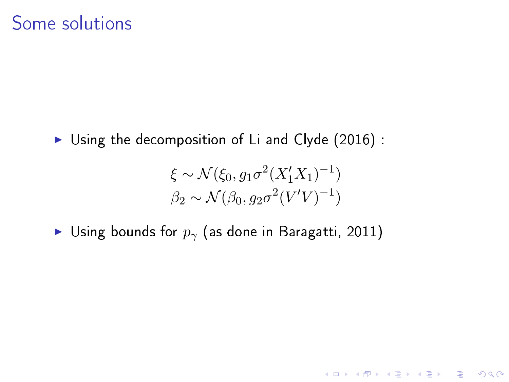I Using the decomposition of Li and Clyde  $(2016)$ :

$$
\xi \sim \mathcal{N}(\xi_0, g_1 \sigma^2 (X'_1 X_1)^{-1})
$$
  

$$
\beta_2 \sim \mathcal{N}(\beta_0, g_2 \sigma^2 (V'V)^{-1})
$$

K ロ ▶ K 레 ▶ K 레 ▶ K 레 ≯ K 게 회 게 이 및 사 이 의 O

► Using bounds for  $p_{\gamma}$  (as done in Baragatti, 2011)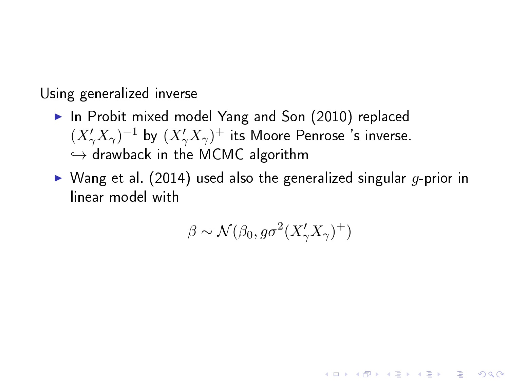Using generalized inverse

- $\blacktriangleright$  In Probit mixed model Yang and Son (2010) replaced  $(X_\gamma'X_\gamma)^{-1}$  by  $(X_\gamma'X_\gamma)^+$  its Moore Penrose 's inverse.  $\hookrightarrow$  drawback in the MCMC algorithm
- $\triangleright$  Wang et al. (2014) used also the generalized singular g-prior in linear model with

$$
\beta \sim \mathcal{N}(\beta_0, g \sigma^2 (X'_\gamma X_\gamma)^+)
$$

**A DIA K PIA K E A LE A DIA K E A VION**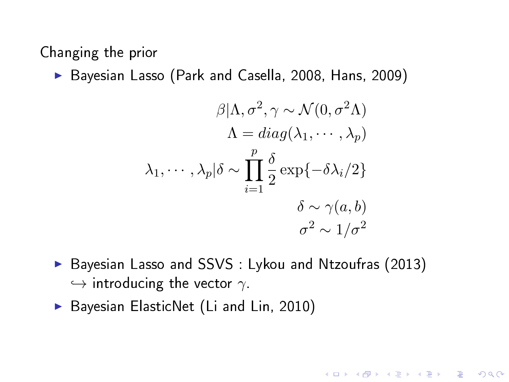Changing the prior

Bayesian Lasso (Park and Casella, 2008, Hans, 2009)

$$
\beta | \Lambda, \sigma^2, \gamma \sim \mathcal{N}(0, \sigma^2 \Lambda)
$$

$$
\Lambda = diag(\lambda_1, \cdots, \lambda_p)
$$

$$
\lambda_1, \cdots, \lambda_p | \delta \sim \prod_{i=1}^p \frac{\delta}{2} \exp\{-\delta \lambda_i/2\}
$$

$$
\delta \sim \gamma(a, b)
$$

$$
\sigma^2 \sim 1/\sigma^2
$$

▶ Bayesian Lasso and SSVS : Lykou and Ntzoufras (2013)  $\hookrightarrow$  introducing the vector  $\gamma$ .

**A DIA K PIA K E A LE A DIA K E A VION** 

Bayesian ElasticNet (Li and Lin, 2010)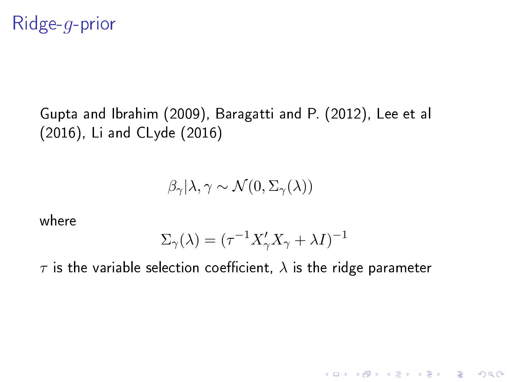Ridge-g-prior

Gupta and Ibrahim (2009), Baragatti and P. (2012), Lee et al (2016), Li and CLyde (2016)

 $\beta_{\gamma}|\lambda, \gamma \sim \mathcal{N}(0, \Sigma_{\gamma}(\lambda))$ 

where

$$
\Sigma_{\gamma}(\lambda) = (\tau^{-1}X_{\gamma}'X_{\gamma} + \lambda I)^{-1}
$$

**A DIA K PIA K E A LE A DIA K E A VION** 

 $\tau$  is the variable selection coefficient,  $\lambda$  is the ridge parameter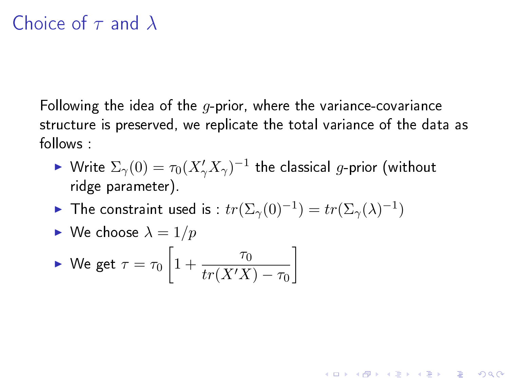Following the idea of the  $q$ -prior, where the variance-covariance structure is preserved, we replicate the total variance of the data as follows :

 $\blacktriangleright$  Write  $\Sigma_\gamma(0)=\tau_0(X_\gamma'X_\gamma)^{-1}$  the classical  $g$ -prior (without ridge parameter).

► The constraint used is :  $tr(\Sigma_\gamma(0)^{-1})=tr(\Sigma_\gamma(\lambda)^{-1})$ 

$$
\blacktriangleright \text{ We choose } \lambda = 1/p
$$

$$
\triangleright \text{ We get } \tau = \tau_0 \left[ 1 + \frac{\tau_0}{tr(X'X) - \tau_0} \right]
$$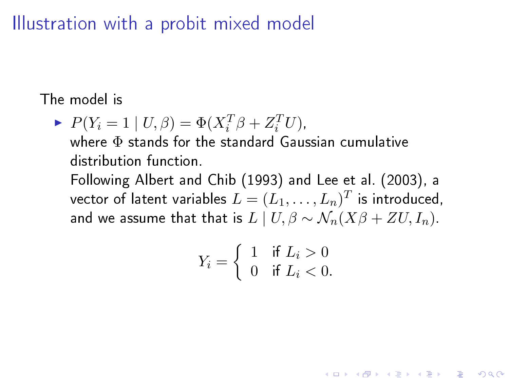## Illustration with a probit mixed model

The model is

 $\blacktriangleright$   $P(Y_i = 1 | U, \beta) = \Phi(X_i^T \beta + Z_i^T U),$ where Φ stands for the standard Gaussian cumulative distribution function.

Following Albert and Chib (1993) and Lee et al. (2003), a vector of latent variables  $L=(L_1,\ldots,L_n)^T$  is introduced, and we assume that that is  $L \mid U, \beta \sim \mathcal{N}_n(X\beta + ZU, I_n)$ .

$$
Y_i = \begin{cases} 1 & \text{if } L_i > 0 \\ 0 & \text{if } L_i < 0. \end{cases}
$$

**KORKAR KERKER DRAM**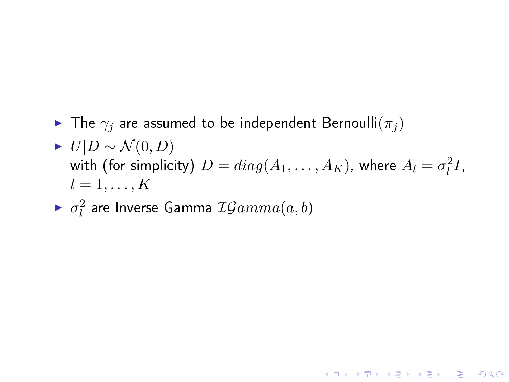- $\blacktriangleright$  The  $\gamma_i$  are assumed to be independent Bernoulli $(\pi_i)$
- $\blacktriangleright$   $U|D \sim \mathcal{N}(0, D)$ with (for simplicity)  $D=diag(A_1,\ldots,A_K)$ , where  $A_l=\sigma_l^2 I$ ,  $l=1,\ldots,K$

**A DIA K PIA A BIA A BIA A Q A CA** 

 $\blacktriangleright$   $\sigma_l^2$  are Inverse Gamma  $\mathcal{IGamma}(a, b)$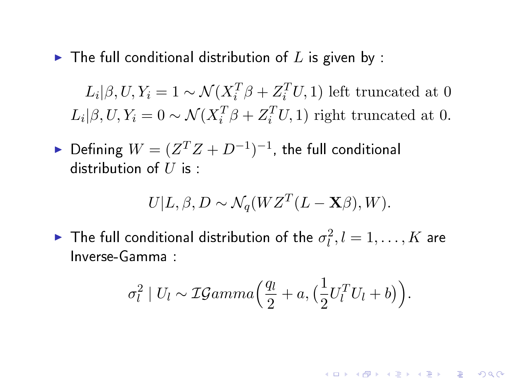$\blacktriangleright$  The full conditional distribution of L is given by :

 $L_i|\beta, U, Y_i = 1 \sim \mathcal{N}(X_i^T \beta + Z_i^T U, 1)$  left truncated at 0  $L_i|\beta, U, Y_i = 0 \sim \mathcal{N}(X_i^T \beta + Z_i^T U, 1)$  right truncated at 0.

► Defining  $W = (Z^TZ + D^{-1})^{-1}$ , the full conditional distribution of  $U$  is:

$$
U|L, \beta, D \sim \mathcal{N}_q(WZ^T(L - \mathbf{X}\beta), W).
$$

 $\blacktriangleright$  The full conditional distribution of the  $\sigma_l^2, l=1,\ldots,K$  are Inverse-Gamma :

$$
\sigma_l^2 \mid U_l \sim \mathcal{IGamma}\left(\frac{q_l}{2} + a, \left(\frac{1}{2}U_l^TU_l + b\right)\right).
$$

**A O A G A 4 O A C A H A G A H A 4 O A C A**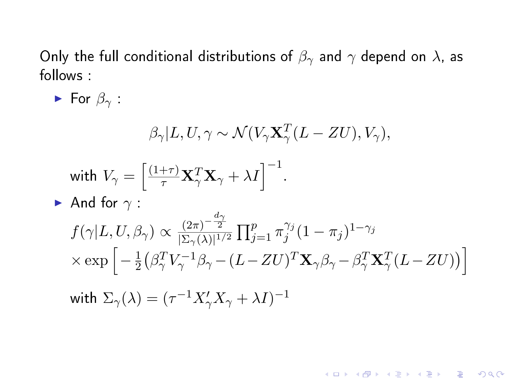Only the full conditional distributions of  $\beta_{\gamma}$  and  $\gamma$  depend on  $\lambda$ , as follows :

\n- \n
$$
\operatorname{For} \beta_{\gamma}:
$$
\n
$$
\beta_{\gamma}|L, U, \gamma \sim \mathcal{N}(V_{\gamma} \mathbf{X}_{\gamma}^{T} (L - ZU), V_{\gamma}),
$$
\n
\n- \n
$$
\text{with } V_{\gamma} = \left[\frac{(1+\tau)}{\tau} \mathbf{X}_{\gamma}^{T} \mathbf{X}_{\gamma} + \lambda I\right]^{-1}.
$$
\n
\n- \n
$$
\text{And for } \gamma:
$$
\n
$$
f(\gamma|L, U, \beta_{\gamma}) \propto \frac{(2\pi)^{-\frac{d_{\gamma}}{2}}}{|\Sigma_{\gamma}(\lambda)|^{1/2}} \prod_{j=1}^{p} \pi_{j}^{\gamma_{j}} (1 - \pi_{j})^{1 - \gamma_{j}}
$$
\n
$$
\times \exp\left[-\frac{1}{2} \left(\beta_{\gamma}^{T} V_{\gamma}^{-1} \beta_{\gamma} - (L - ZU)^{T} \mathbf{X}_{\gamma} \beta_{\gamma} - \beta_{\gamma}^{T} \mathbf{X}_{\gamma}^{T} (L - ZU)\right)\right]
$$
\n
\n- \n
$$
\text{with } \Sigma_{\gamma}(\lambda) = (\tau^{-1} X_{\gamma}' X_{\gamma} + \lambda I)^{-1}
$$
\n
\n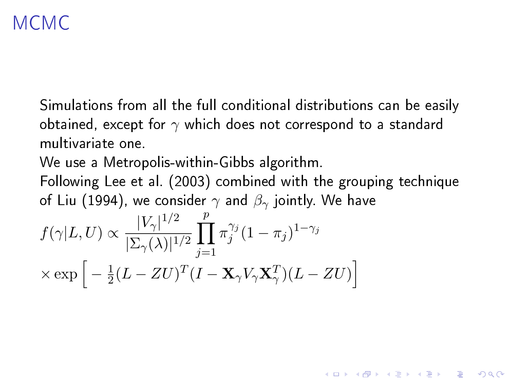## MCMC

Simulations from all the full conditional distributions can be easily obtained, except for  $\gamma$  which does not correspond to a standard multivariate one.

We use a Metropolis-within-Gibbs algorithm.

Following Lee et al. (2003) combined with the grouping technique of Liu (1994), we consider  $\gamma$  and  $\beta_{\gamma}$  jointly. We have

**A DIA K PIA K E A LE A DIA K E A VION** 

$$
f(\gamma|L, U) \propto \frac{|V_{\gamma}|^{1/2}}{|\Sigma_{\gamma}(\lambda)|^{1/2}} \prod_{j=1}^{p} \pi_j^{\gamma_j} (1 - \pi_j)^{1 - \gamma_j}
$$

$$
\times \exp\left[-\frac{1}{2}(L - ZU)^T (I - \mathbf{X}_{\gamma} V_{\gamma} \mathbf{X}_{\gamma}^T)(L - ZU)\right]
$$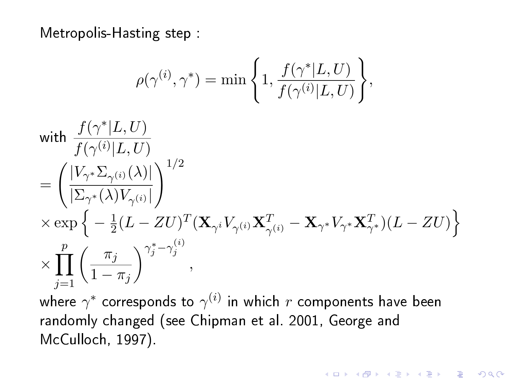Metropolis-Hasting step :

$$
\rho(\gamma^{(i)},\gamma^*)=\min\Bigg\{1,\frac{f(\gamma^*|L,U)}{f(\gamma^{(i)}|L,U)}\Bigg\},
$$

$$
\label{eq:20} \begin{aligned} &\text{with } \frac{f(\gamma^*|L,U)}{f(\gamma^{(i)}|L,U)}\\ &=\left(\frac{|V_{\gamma^*}\Sigma_{\gamma^{(i)}}(\lambda)|}{|\Sigma_{\gamma^*}(\lambda)V_{\gamma^{(i)}}|}\right)^{1/2}\\ &\times\exp\Big\{-\frac{1}{2}(L-ZU)^T(\mathbf{X}_{\gamma^i}V_{\gamma^{(i)}}\mathbf{X}^T_{\gamma^{(i)}}-\mathbf{X}_{\gamma^*}V_{\gamma^*}\mathbf{X}^T_{\gamma^*})(L-ZU)\Big\}\\ &\times\prod_{j=1}^p\left(\frac{\pi_j}{1-\pi_j}\right)^{\gamma^*_j-\gamma^{(i)}_j}, \end{aligned}
$$

where  $\gamma^*$  corresponds to  $\gamma^{(i)}$  in which  $r$  components have been randomly changed (see Chipman et al. 2001, George and McCulloch, 1997).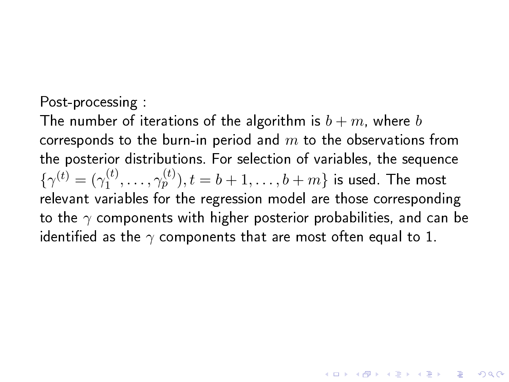Post-processing :

The number of iterations of the algorithm is  $b + m$ , where  $b$ corresponds to the burn-in period and  $m$  to the observations from the posterior distributions. For selection of variables, the sequence  $\{\gamma^{(t)} = (\gamma_1^{(t)}\)$  $\gamma_1^{(t)},\ldots,\gamma_p^{(t)}), t=b+1,\ldots,b+m\}$  is used. The most relevant variables for the regression model are those corresponding to the  $\gamma$  components with higher posterior probabilities, and can be identified as the  $\gamma$  components that are most often equal to 1.

**KORKAR KERKER EL VOLO**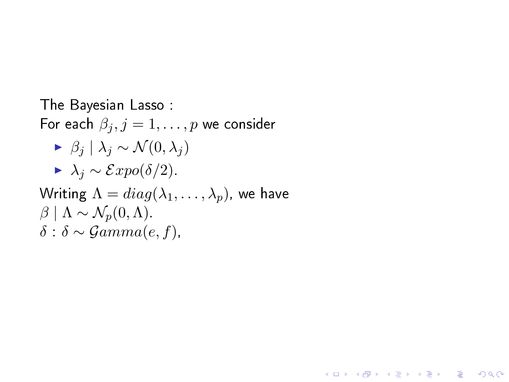The Bayesian Lasso : For each  $\beta_j, j = 1, \ldots, p$  we consider  $\blacktriangleright$   $\beta_i | \lambda_i \sim \mathcal{N}(0, \lambda_i)$  $\blacktriangleright$   $\lambda_j \sim \mathcal{E} x p o(\delta/2)$ . Writing  $\Lambda = diag(\lambda_1, \ldots, \lambda_p)$ , we have  $β \mid Λ \sim \mathcal{N}_n(0, Λ)$ .  $δ · δ ~ √ Gamma(e, f),$ 

**KORKA SERKER SHORA**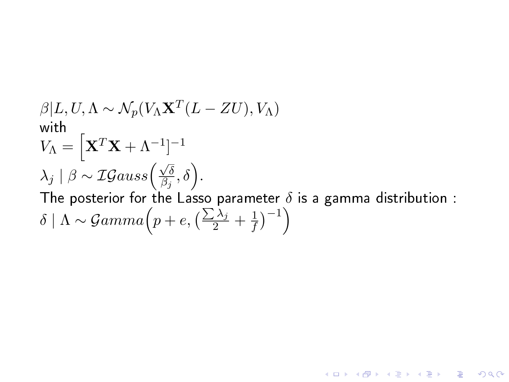$$
\beta | L, U, \Lambda \sim \mathcal{N}_p(V_\Lambda \mathbf{X}^T (L - ZU), V_\Lambda)
$$
  
with  

$$
V_\Lambda = \left[ \mathbf{X}^T \mathbf{X} + \Lambda^{-1} \right]^{-1}
$$
  

$$
\lambda_j | \beta \sim \text{IGauss}\left(\frac{\sqrt{\delta}}{\beta_j}, \delta\right).
$$
  
The posterior for the Lasso parameter  $\delta$  is a gamma distribution :  

$$
\delta | \Lambda \sim \text{Gamma}\left(p + e, \left(\frac{\sum \lambda_j}{2} + \frac{1}{f}\right)^{-1}\right)
$$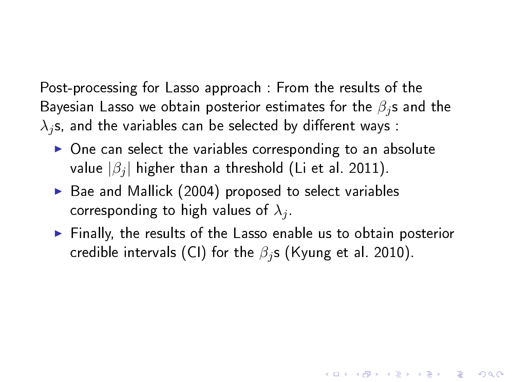Post-processing for Lasso approach : From the results of the Bayesian Lasso we obtain posterior estimates for the  $\beta_i$ s and the  $\lambda_j$ s, and the variables can be selected by different ways :

- $\triangleright$  One can select the variables corresponding to an absolute value  $|\beta_i|$  higher than a threshold (Li et al. 2011).
- $\triangleright$  Bae and Mallick (2004) proposed to select variables corresponding to high values of  $\lambda_i$ .
- $\blacktriangleright$  Finally, the results of the Lasso enable us to obtain posterior credible intervals (CI) for the  $\beta_j$ s (Kyung et al. 2010).

**A DIA K PIA A BIA A BIA A Q A CA**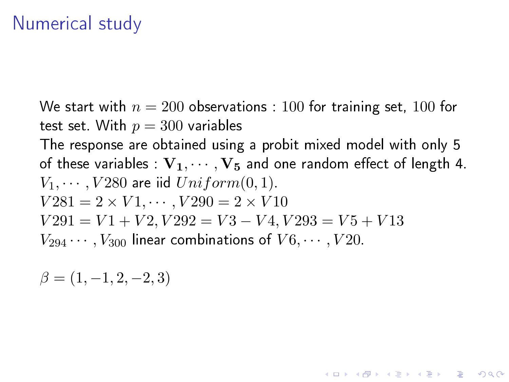#### Numerical study

We start with  $n = 200$  observations : 100 for training set, 100 for test set. With  $p = 300$  variables The response are obtained using a probit mixed model with only 5 of these variables :  $V_1, \cdots, V_5$  and one random effect of length 4.  $V_1, \cdots, V280$  are iid  $Uniform(0, 1)$ .  $V281 = 2 \times V1, \cdots, V290 = 2 \times V10$  $V291 = V1 + V2, V292 = V3 - V4, V293 = V5 + V13$  $V_{294} \cdots$ ,  $V_{300}$  linear combinations of  $V6, \cdots, V20$ .

 $\beta = (1, -1, 2, -2, 3)$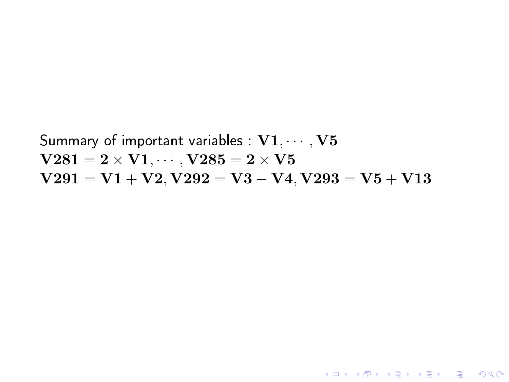Summary of important variables  $\mathbf{V1}, \cdots, \mathbf{V5}$  $V281 = 2 \times V1, \cdots, V285 = 2 \times V5$  $V291 = V1 + V2, V292 = V3 - V4, V293 = V5 + V13$ 

K ロ ▶ K @ ▶ K 할 ▶ K 할 ▶ → 할 → 9 Q @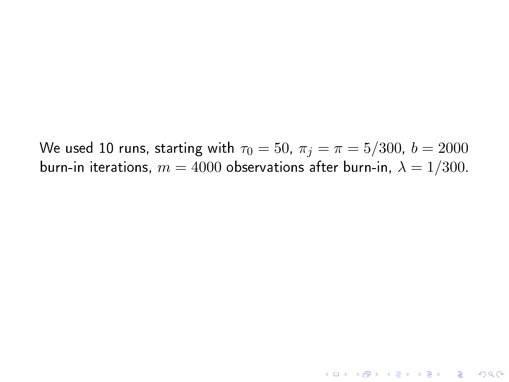We used 10 runs, starting with  $\tau_0 = 50$ ,  $\pi_i = \pi = 5/300$ ,  $b = 2000$ burn-in iterations,  $m = 4000$  observations after burn-in,  $\lambda = 1/300$ .

K ロ ▶ K 레 ▶ K 레 ▶ K 레 ≯ K 게 회 게 이 및 사 이 의 O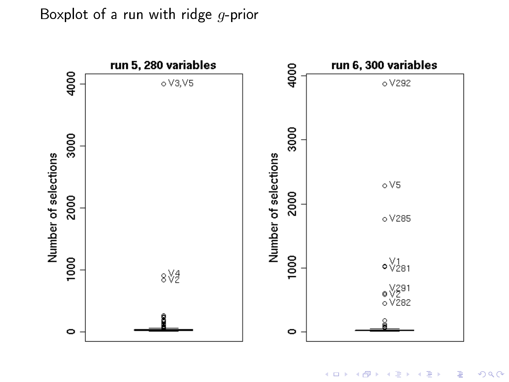Boxplot of a run with ridge  $g$ -prior

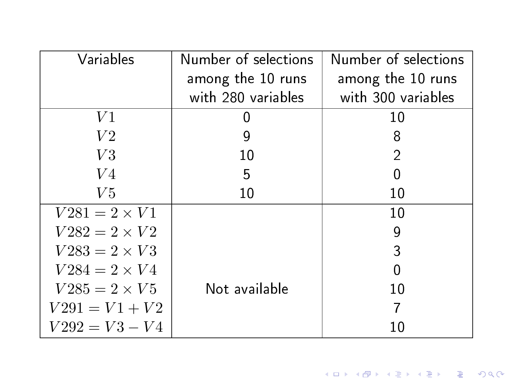| Variables            | Number of selections | Number of selections |  |
|----------------------|----------------------|----------------------|--|
|                      | among the 10 runs    | among the 10 runs    |  |
|                      | with 280 variables   | with 300 variables   |  |
| V1                   |                      | 10                   |  |
| V2                   | 9                    | 8                    |  |
| V3                   | 10                   | 2                    |  |
| V4                   | 5                    | Ω                    |  |
| V5                   | 10                   | 10                   |  |
| $V281 = 2 \times V1$ |                      | 10                   |  |
| $V282 = 2 \times V2$ |                      | 9                    |  |
| $V283 = 2 \times V3$ |                      | 3                    |  |
| $V284 = 2 \times V4$ |                      |                      |  |
| $V285 = 2 \times V5$ | Not available        | 10                   |  |
| $V291 = V1 + V2$     |                      |                      |  |
| $V292 = V3 - V4$     |                      | 10                   |  |

イロト イ部ト イミド イミド ニミー のんぴ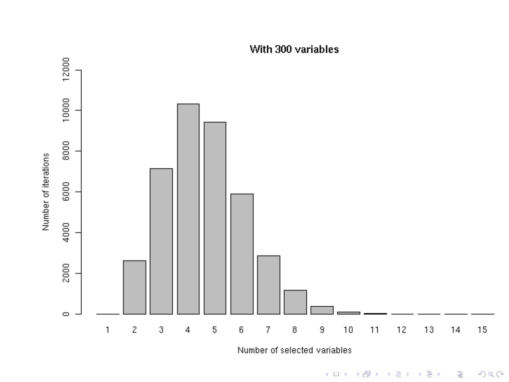

#### With 300 variables

**K ロ X (御 X X を X X を X ) 主 : 990**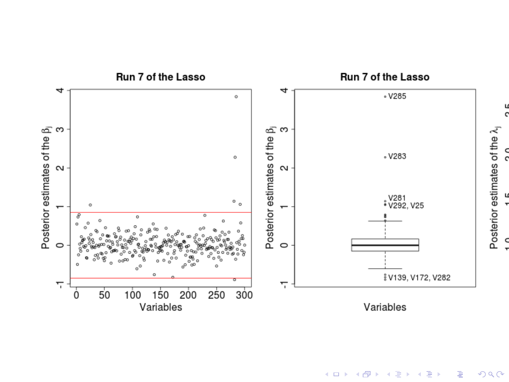

(ロ) (倒) (重 È  $2Q$ ă  $\mathbf{b}$ ×. **B**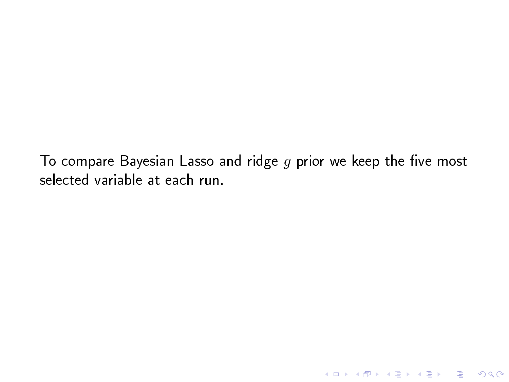To compare Bayesian Lasso and ridge  $g$  prior we keep the five most selected variable at each run.

K □ ▶ K @ ▶ K 할 > K 할 > 1 할 > 1 9 Q Q \*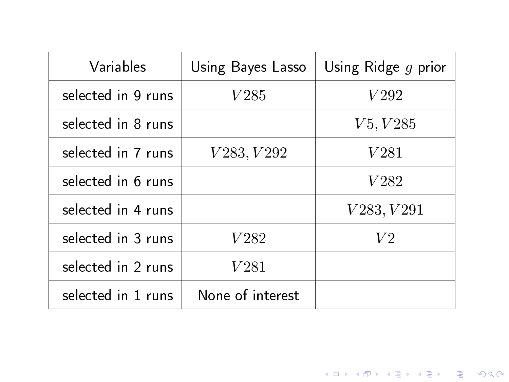<span id="page-43-0"></span>

| Variables          | Using Bayes Lasso | Using Ridge $g$ prior |  |
|--------------------|-------------------|-----------------------|--|
| selected in 9 runs | V285              | V292                  |  |
| selected in 8 runs |                   | V5, V285              |  |
| selected in 7 runs | V283, V292        | V <sub>281</sub>      |  |
| selected in 6 runs |                   | V <sub>282</sub>      |  |
| selected in 4 runs |                   | V283, V291            |  |
| selected in 3 runs | V <sub>282</sub>  | V2                    |  |
| selected in 2 runs | V281              |                       |  |
| selected in 1 runs | None of interest  |                       |  |

イロト イ部ト イミド イミド ニミー のんぴ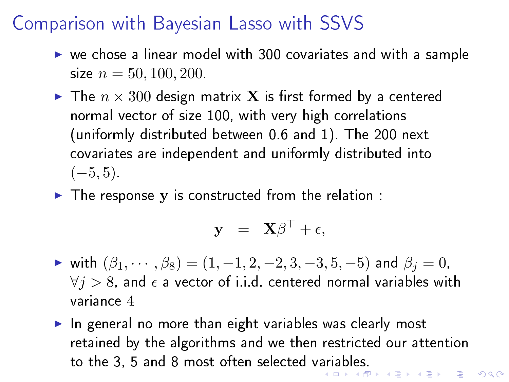#### Comparison with Bayesian Lasso with SSVS

- $\triangleright$  we chose a linear model with 300 covariates and with a sample size  $n = 50, 100, 200$ .
- $\blacktriangleright$  The  $n \times 300$  design matrix  $\bf{X}$  is first formed by a centered normal vector of size 100, with very high correlations (uniformly distributed between 0.6 and 1). The 200 next covariates are independent and uniformly distributed into  $(-5, 5)$ .
- $\blacktriangleright$  The response y is constructed from the relation :

$$
\mathbf{y} \;\; = \;\; \mathbf{X} \boldsymbol{\beta}^{\top} + \boldsymbol{\epsilon},
$$

- $\triangleright$  with  $(\beta_1, \dots, \beta_8) = (1, -1, 2, -2, 3, -3, 5, -5)$  and  $\beta_i = 0$ ,  $\forall j > 8$ , and  $\epsilon$  a vector of i.i.d. centered normal variables with variance 4
- <span id="page-44-0"></span> $\blacktriangleright$  In general no more than eight variables was clearly most retained by the algorithms and we then restricted our attention to the 3, 5 and 8 most often selected v[ari](#page-43-0)[abl](#page-45-0)[e](#page-43-0)[s.](#page-44-0)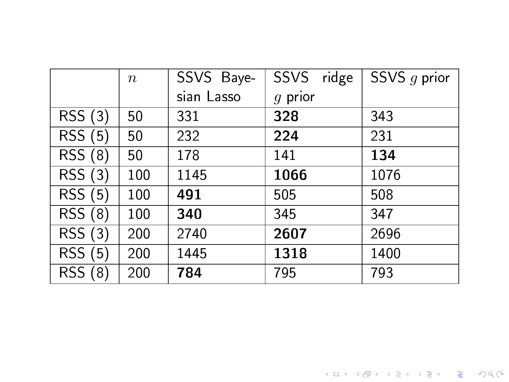<span id="page-45-0"></span>

|         | $\, n$ | SSVS Baye- | SSVS<br>ridge | SSVS $g$ prior |
|---------|--------|------------|---------------|----------------|
|         |        | sian Lasso | $g$ prior     |                |
| RSS(3)  | 50     | 331        | 328           | 343            |
| RSS (5) | 50     | 232        | 224           | 231            |
| RSS (8) | 50     | 178        | 141           | 134            |
| RSS(3)  | 100    | 1145       | 1066          | 1076           |
| RSS(5)  | 100    | 491        | 505           | 508            |
| RSS (8) | 100    | 340        | 345           | 347            |
| RSS(3)  | 200    | 2740       | 2607          | 2696           |
| RSS (5) | 200    | 1445       | 1318          | 1400           |
| RSS (8) | 200    | 784        | 795           | 793            |

イロト イ部ト イミド イミド ニミー のんぴ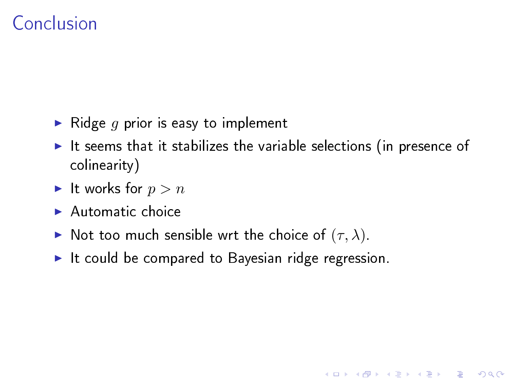#### Conclusion

- $\blacktriangleright$  Ridge g prior is easy to implement
- $\blacktriangleright$  It seems that it stabilizes the variable selections (in presence of colinearity)

K ロ ▶ K @ ▶ K 할 ▶ K 할 ▶ 이 할 → 9 Q @

- It works for  $p > n$
- $\blacktriangleright$  Automatic choice
- $\blacktriangleright$  Not too much sensible wrt the choice of  $(\tau, \lambda)$ .
- It could be compared to Bayesian ridge regression.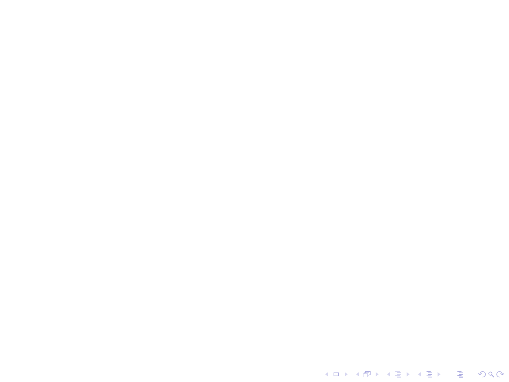イロト イ部ト イミド イミド ニミー のんぴ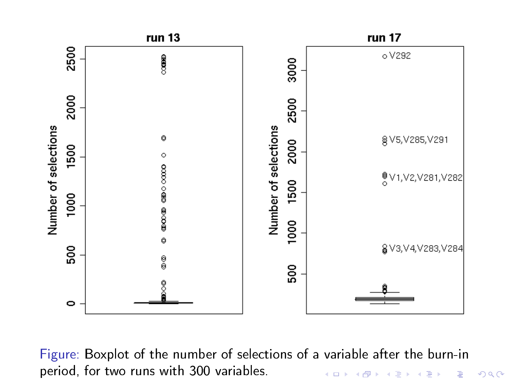

Figure: Boxplot of the number of selections of a variable after the burn-in period, for two runs with 300 variables.キロメ メ都 メイモメ メモメ È

 $299$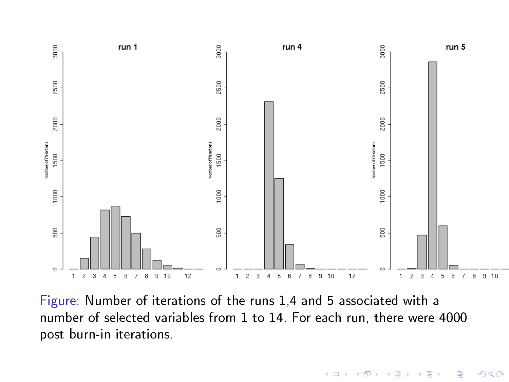

Figure: Number of iterations of the runs 1,4 and 5 associated with a number of selected variables from 1 to 14. For each run, there were 4000 post burn-in iterations.